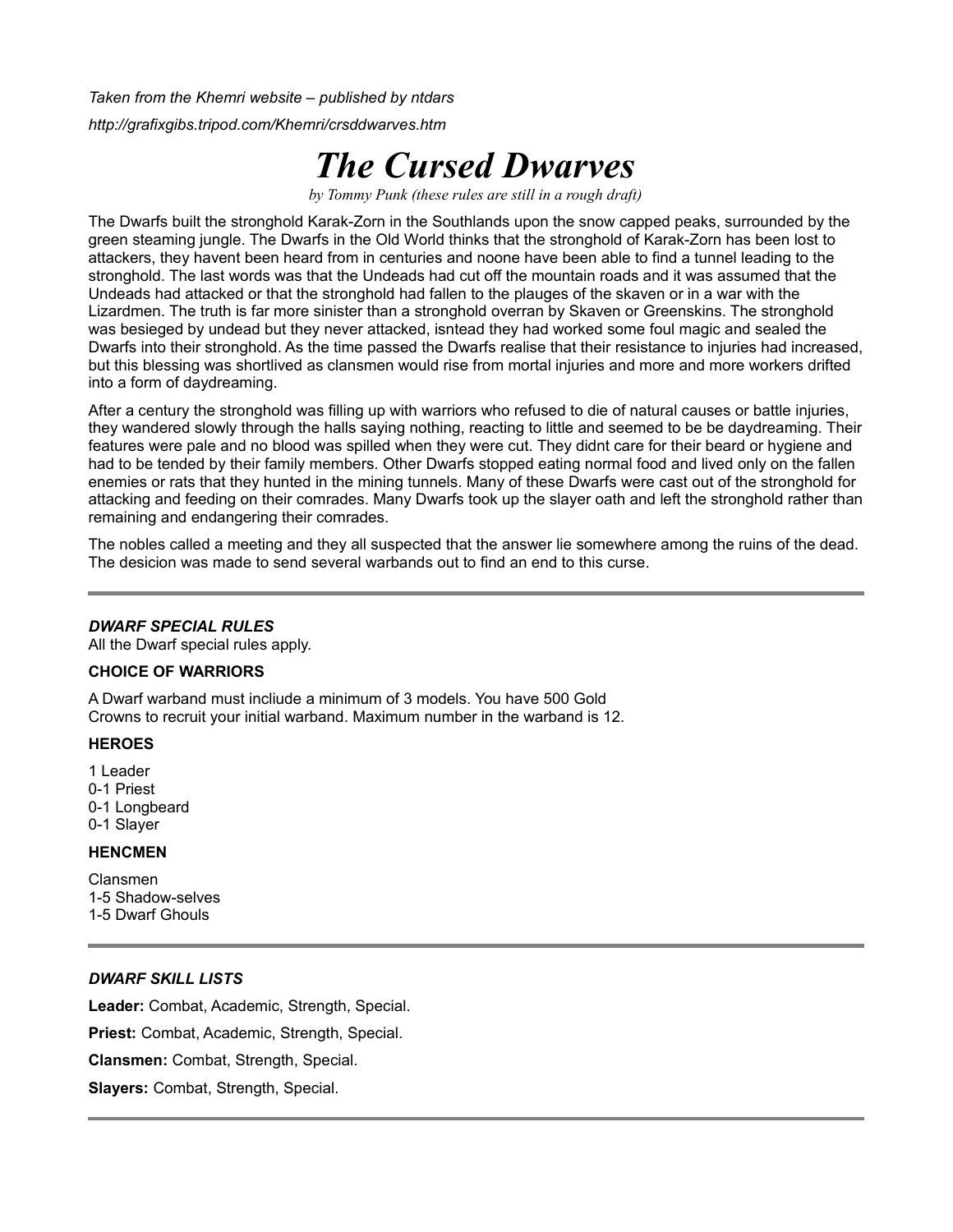*Taken from the Khemri website – published by ntdars*

*http://grafixgibs.tripod.com/Khemri/crsddwarves.htm*

# *The Cursed Dwarves*

*by Tommy Punk (these rules are still in a rough draft)*

The Dwarfs built the stronghold Karak-Zorn in the Southlands upon the snow capped peaks, surrounded by the green steaming jungle. The Dwarfs in the Old World thinks that the stronghold of Karak-Zorn has been lost to attackers, they havent been heard from in centuries and noone have been able to find a tunnel leading to the stronghold. The last words was that the Undeads had cut off the mountain roads and it was assumed that the Undeads had attacked or that the stronghold had fallen to the plauges of the skaven or in a war with the Lizardmen. The truth is far more sinister than a stronghold overran by Skaven or Greenskins. The stronghold was besieged by undead but they never attacked, isntead they had worked some foul magic and sealed the Dwarfs into their stronghold. As the time passed the Dwarfs realise that their resistance to injuries had increased, but this blessing was shortlived as clansmen would rise from mortal injuries and more and more workers drifted into a form of daydreaming.

After a century the stronghold was filling up with warriors who refused to die of natural causes or battle injuries, they wandered slowly through the halls saying nothing, reacting to little and seemed to be be daydreaming. Their features were pale and no blood was spilled when they were cut. They didnt care for their beard or hygiene and had to be tended by their family members. Other Dwarfs stopped eating normal food and lived only on the fallen enemies or rats that they hunted in the mining tunnels. Many of these Dwarfs were cast out of the stronghold for attacking and feeding on their comrades. Many Dwarfs took up the slayer oath and left the stronghold rather than remaining and endangering their comrades.

The nobles called a meeting and they all suspected that the answer lie somewhere among the ruins of the dead. The desicion was made to send several warbands out to find an end to this curse.

#### *DWARF SPECIAL RULES*

All the Dwarf special rules apply.

# **CHOICE OF WARRIORS**

A Dwarf warband must incliude a minimum of 3 models. You have 500 Gold Crowns to recruit your initial warband. Maximum number in the warband is 12.

#### **HEROES**

1 Leader 0-1 Priest 0-1 Longbeard 0-1 Slayer

#### **HENCMEN**

Clansmen 1-5 Shadow-selves 1-5 Dwarf Ghouls

#### *DWARF SKILL LISTS*

**Leader:** Combat, Academic, Strength, Special.

**Priest:** Combat, Academic, Strength, Special.

**Clansmen:** Combat, Strength, Special.

**Slayers:** Combat, Strength, Special.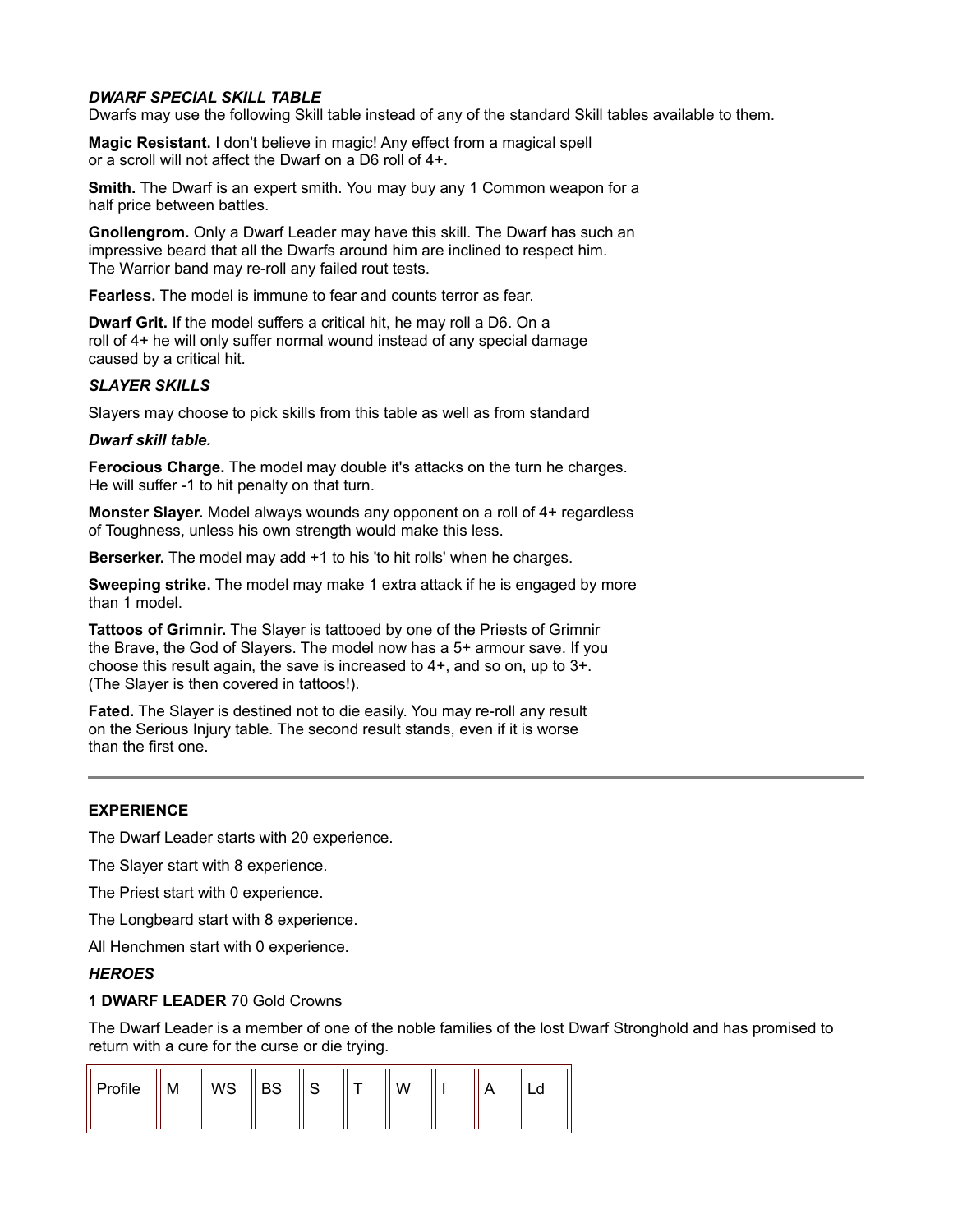# *DWARF SPECIAL SKILL TABLE*

Dwarfs may use the following Skill table instead of any of the standard Skill tables available to them.

**Magic Resistant.** I don't believe in magic! Any effect from a magical spell or a scroll will not affect the Dwarf on a D6 roll of 4+.

**Smith.** The Dwarf is an expert smith. You may buy any 1 Common weapon for a half price between battles.

**Gnollengrom.** Only a Dwarf Leader may have this skill. The Dwarf has such an impressive beard that all the Dwarfs around him are inclined to respect him. The Warrior band may re-roll any failed rout tests.

**Fearless.** The model is immune to fear and counts terror as fear.

**Dwarf Grit.** If the model suffers a critical hit, he may roll a D6. On a roll of 4+ he will only suffer normal wound instead of any special damage caused by a critical hit.

#### *SLAYER SKILLS*

Slayers may choose to pick skills from this table as well as from standard

#### *Dwarf skill table.*

**Ferocious Charge.** The model may double it's attacks on the turn he charges. He will suffer -1 to hit penalty on that turn.

**Monster Slayer.** Model always wounds any opponent on a roll of 4+ regardless of Toughness, unless his own strength would make this less.

**Berserker.** The model may add +1 to his 'to hit rolls' when he charges.

**Sweeping strike.** The model may make 1 extra attack if he is engaged by more than 1 model.

**Tattoos of Grimnir.** The Slayer is tattooed by one of the Priests of Grimnir the Brave, the God of Slayers. The model now has a 5+ armour save. If you choose this result again, the save is increased to 4+, and so on, up to 3+. (The Slayer is then covered in tattoos!).

**Fated.** The Slayer is destined not to die easily. You may re-roll any result on the Serious Injury table. The second result stands, even if it is worse than the first one.

#### **EXPERIENCE**

The Dwarf Leader starts with 20 experience.

The Slayer start with 8 experience.

The Priest start with 0 experience.

The Longbeard start with 8 experience.

All Henchmen start with 0 experience.

#### *HEROES*

#### **1 DWARF LEADER** 70 Gold Crowns

The Dwarf Leader is a member of one of the noble families of the lost Dwarf Stronghold and has promised to return with a cure for the curse or die trying.

| $\parallel$ Profile | ıVI. | WS | <b>BS</b> |  | W |  |  |
|---------------------|------|----|-----------|--|---|--|--|
|                     |      |    |           |  |   |  |  |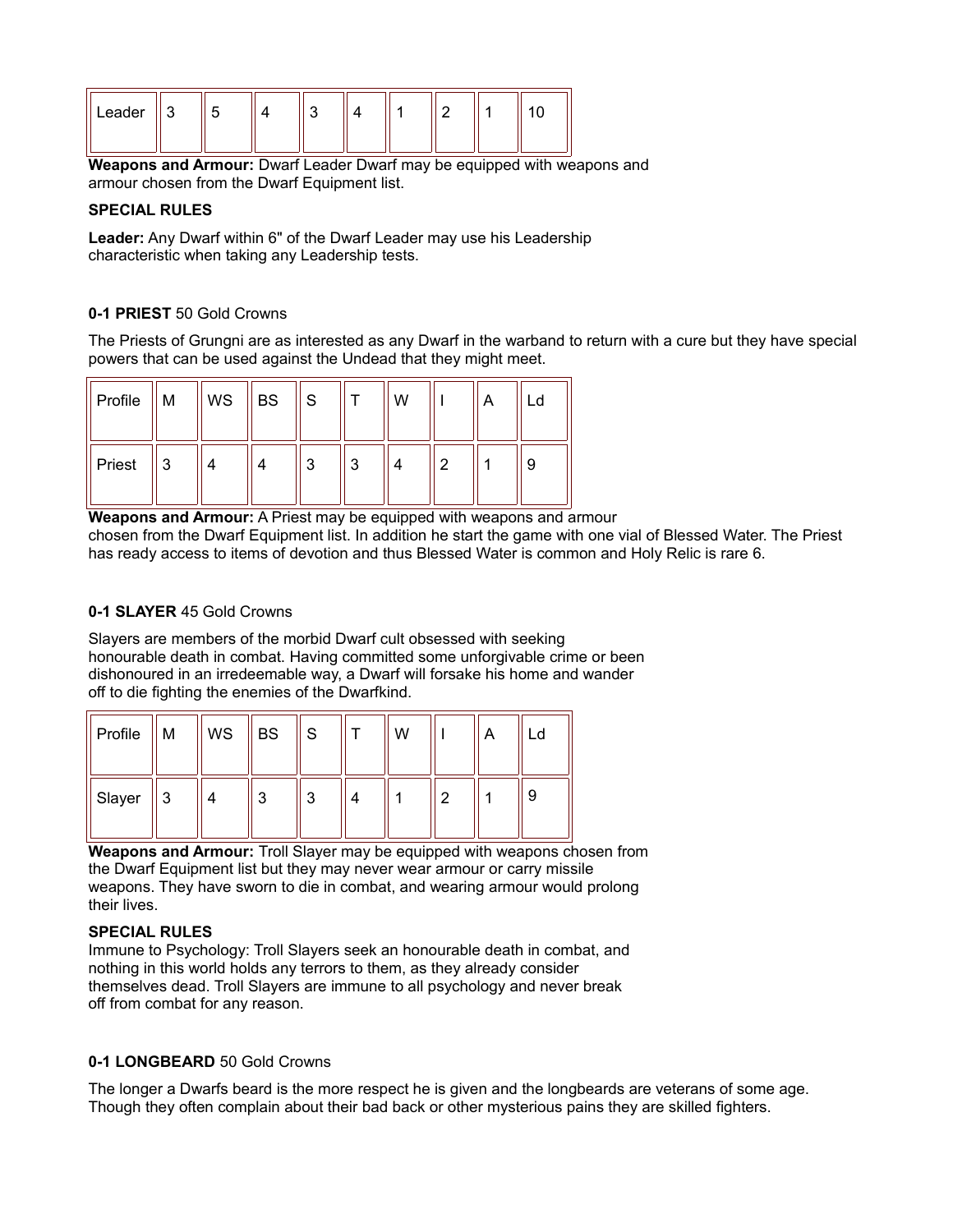| $\parallel$ Leader | ັ |  |  |  |  |
|--------------------|---|--|--|--|--|
|                    |   |  |  |  |  |

**Weapons and Armour:** Dwarf Leader Dwarf may be equipped with weapons and armour chosen from the Dwarf Equipment list.

#### **SPECIAL RULES**

**Leader:** Any Dwarf within 6" of the Dwarf Leader may use his Leadership characteristic when taking any Leadership tests.

# **0-1 PRIEST** 50 Gold Crowns

The Priests of Grungni are as interested as any Dwarf in the warband to return with a cure but they have special powers that can be used against the Undead that they might meet.

| Profile | M | WS | <b>BS</b> | l S |   | W |   | А | Ld |
|---------|---|----|-----------|-----|---|---|---|---|----|
| Priest  | 3 |    |           | 3   | 3 |   | c |   | -9 |

**Weapons and Armour:** A Priest may be equipped with weapons and armour chosen from the Dwarf Equipment list. In addition he start the game with one vial of Blessed Water. The Priest has ready access to items of devotion and thus Blessed Water is common and Holy Relic is rare 6.

# **0-1 SLAYER** 45 Gold Crowns

Slayers are members of the morbid Dwarf cult obsessed with seeking honourable death in combat. Having committed some unforgivable crime or been dishonoured in an irredeemable way, a Dwarf will forsake his home and wander off to die fighting the enemies of the Dwarfkind.

| Profile | M | WS | <b>BS</b> | S | W |   | A | Ld |
|---------|---|----|-----------|---|---|---|---|----|
| Slayer  | 3 |    | ◠<br>u    | 3 |   | ົ |   | 9  |

**Weapons and Armour:** Troll Slayer may be equipped with weapons chosen from the Dwarf Equipment list but they may never wear armour or carry missile weapons. They have sworn to die in combat, and wearing armour would prolong their lives.

# **SPECIAL RULES**

Immune to Psychology: Troll Slayers seek an honourable death in combat, and nothing in this world holds any terrors to them, as they already consider themselves dead. Troll Slayers are immune to all psychology and never break off from combat for any reason.

# **0-1 LONGBEARD** 50 Gold Crowns

The longer a Dwarfs beard is the more respect he is given and the longbeards are veterans of some age. Though they often complain about their bad back or other mysterious pains they are skilled fighters.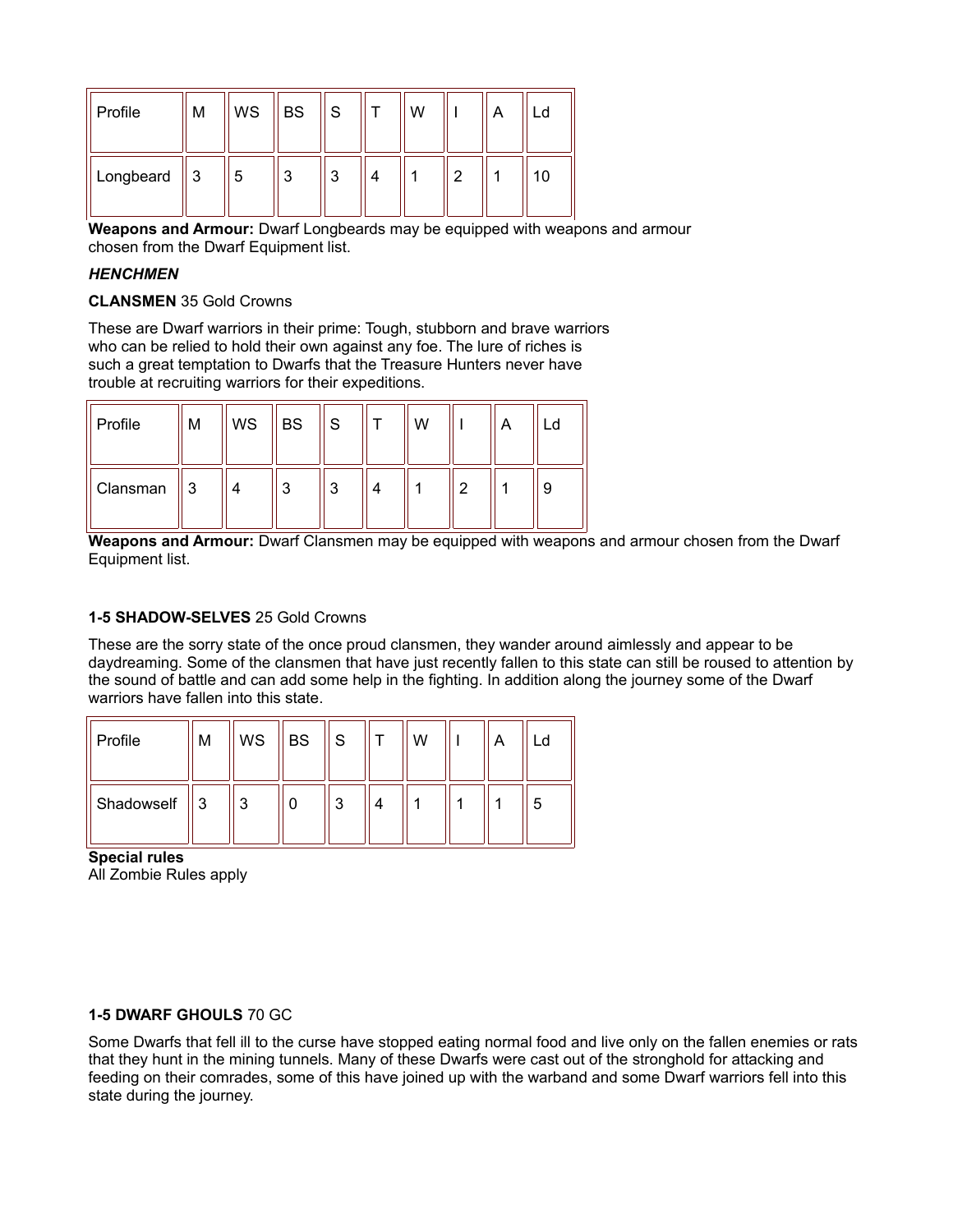| Profile   | M         | WS | ∥ BS | l S | W |   | Α | Ld |
|-----------|-----------|----|------|-----|---|---|---|----|
| Longbeard | $\vert 3$ | 5  | 3    | ີ   |   | າ |   | 10 |

**Weapons and Armour:** Dwarf Longbeards may be equipped with weapons and armour chosen from the Dwarf Equipment list.

# *HENCHMEN*

#### **CLANSMEN** 35 Gold Crowns

These are Dwarf warriors in their prime: Tough, stubborn and brave warriors who can be relied to hold their own against any foe. The lure of riches is such a great temptation to Dwarfs that the Treasure Hunters never have trouble at recruiting warriors for their expeditions.

| Profile  | М | WS | <b>BS</b> | ١s     | W |   | Α | ∟d |
|----------|---|----|-----------|--------|---|---|---|----|
| Clansman | 3 | 4  | ◠         | ົ<br>w |   | 2 |   | 9  |

**Weapons and Armour:** Dwarf Clansmen may be equipped with weapons and armour chosen from the Dwarf Equipment list.

# **1-5 SHADOW-SELVES** 25 Gold Crowns

These are the sorry state of the once proud clansmen, they wander around aimlessly and appear to be daydreaming. Some of the clansmen that have just recently fallen to this state can still be roused to attention by the sound of battle and can add some help in the fighting. In addition along the journey some of the Dwarf warriors have fallen into this state.

| Profile    | M | WS | <b>BS</b> | S      | W |  | _d |
|------------|---|----|-----------|--------|---|--|----|
| Shadowself | 3 | 3  |           | ◠<br>J |   |  | 5  |

**Special rules** All Zombie Rules apply

# **1-5 DWARF GHOULS** 70 GC

Some Dwarfs that fell ill to the curse have stopped eating normal food and live only on the fallen enemies or rats that they hunt in the mining tunnels. Many of these Dwarfs were cast out of the stronghold for attacking and feeding on their comrades, some of this have joined up with the warband and some Dwarf warriors fell into this state during the journey.